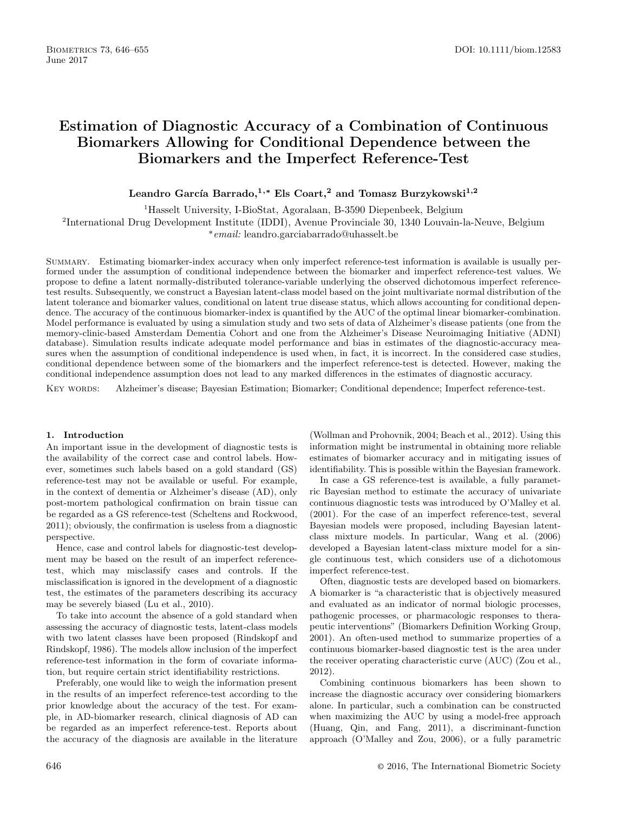# **Estimation of Diagnostic Accuracy of a Combination of Continuous Biomarkers Allowing for Conditional Dependence between the Biomarkers and the Imperfect Reference-Test**

Leandro García Barrado,<sup>1,\*</sup> Els Coart,<sup>2</sup> and Tomasz Burzykowski<sup>1,2</sup>

<sup>1</sup>Hasselt University, I-BioStat, Agoralaan, B-3590 Diepenbeek, Belgium

<sup>2</sup>International Drug Development Institute (IDDI), Avenue Provinciale 30, 1340 Louvain-la-Neuve, Belgium

∗email: leandro.garciabarrado@uhasselt.be

Summary. Estimating biomarker-index accuracy when only imperfect reference-test information is available is usually performed under the assumption of conditional independence between the biomarker and imperfect reference-test values. We propose to define a latent normally-distributed tolerance-variable underlying the observed dichotomous imperfect referencetest results. Subsequently, we construct a Bayesian latent-class model based on the joint multivariate normal distribution of the latent tolerance and biomarker values, conditional on latent true disease status, which allows accounting for conditional dependence. The accuracy of the continuous biomarker-index is quantified by the AUC of the optimal linear biomarker-combination. Model performance is evaluated by using a simulation study and two sets of data of Alzheimer's disease patients (one from the memory-clinic-based Amsterdam Dementia Cohort and one from the Alzheimer's Disease Neuroimaging Initiative (ADNI) database). Simulation results indicate adequate model performance and bias in estimates of the diagnostic-accuracy measures when the assumption of conditional independence is used when, in fact, it is incorrect. In the considered case studies, conditional dependence between some of the biomarkers and the imperfect reference-test is detected. However, making the conditional independence assumption does not lead to any marked differences in the estimates of diagnostic accuracy.

Key words: Alzheimer's disease; Bayesian Estimation; Biomarker; Conditional dependence; Imperfect reference-test.

#### **1. Introduction**

An important issue in the development of diagnostic tests is the availability of the correct case and control labels. However, sometimes such labels based on a gold standard (GS) reference-test may not be available or useful. For example, in the context of dementia or Alzheimer's disease (AD), only post-mortem pathological confirmation on brain tissue can be regarded as a GS reference-test [\(Scheltens and Rockwood,](#page-9-0) 2011); obviously, the confirmation is useless from a diagnostic perspective.

Hence, case and control labels for diagnostic-test development may be based on the result of an imperfect referencetest, which may misclassify cases and controls. If the misclassification is ignored in the development of a diagnostic test, the estimates of the parameters describing its accuracy may be severely biased ([Lu et al., 2010\).](#page-9-0)

To take into account the absence of a gold standard when assessing the accuracy of diagnostic tests, latent-class models with two latent classes have been proposed (Rindskopf and Rindskopf, 1986). The models allow inclusion of the imperfect reference-test information in the form of covariate information, but require certain strict identifiability restrictions.

Preferably, one would like to weigh the information present in the results of an imperfect reference-test according to the prior knowledge about the accuracy of the test. For example, in AD-biomarker research, clinical diagnosis of AD can be regarded as an imperfect reference-test. Reports about the accuracy of the diagnosis are available in the literature

([Wollman and Prohovnik, 2004; Beach et al., 2012\). U](#page-9-0)sing this information might be instrumental in obtaining more reliable estimates of biomarker accuracy and in mitigating issues of identifiability. This is possible within the Bayesian framework.

In case a GS reference-test is available, a fully parametric Bayesian method to estimate the accuracy of univariate continuous diagnostic tests was introduced by [O'Malley et al.](#page-9-0) (2001). For the case of an imperfect reference-test, several Bayesian models were proposed, including Bayesian latentclass mixture models. In particular, [Wang et al. \(2006](#page-9-0)) developed a Bayesian latent-class mixture model for a single continuous test, which considers use of a dichotomous imperfect reference-test.

Often, diagnostic tests are developed based on biomarkers. A biomarker is "a characteristic that is objectively measured and evaluated as an indicator of normal biologic processes, pathogenic processes, or pharmacologic responses to therapeutic interventions" ([Biomarkers Definition Working Group,](#page-8-0) [2001\). An often](#page-9-0)-used method to summarize properties of a continuous biomarker-based diagnostic test is the area under the receiver operating characteristic curve (AUC) [\(Zou et al.,](#page-9-0) 2012).

Combining continuous biomarkers has been shown to increase the diagnostic accuracy over considering biomarkers alone. In particular, such a combination can be constructed when maximizing the AUC by using a model-free approach ([Huang, Qin, and Fang, 20](#page-9-0)11), a discriminant-function approach ([O'Malley and Zou, 2006\)](#page-9-0), or a fully parametric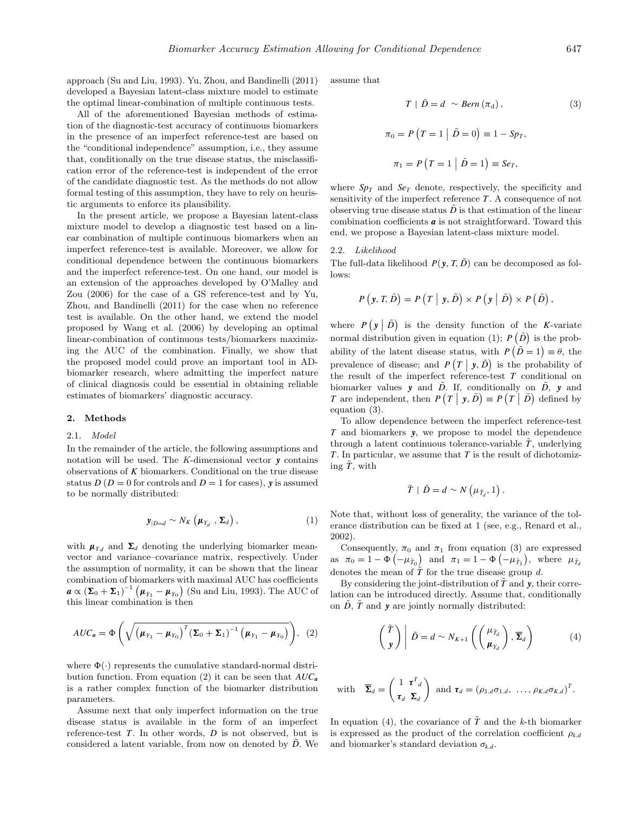approach ([Su and Liu, 1993\). Yu, Zhou, and Bandinelli \(2011\)](#page-9-0) developed a Bayesian latent-class mixture model to estimate the optimal linear-combination of multiple continuous tests.

All of the aforementioned Bayesian methods of estimation of the diagnostic-test accuracy of continuous biomarkers in the presence of an imperfect reference-test are based on the "conditional independence" assumption, i.e., they assume that, conditionally on the true disease status, the misclassification error of the reference-test is independent of the error of the candidate diagnostic test. As the methods do not allow formal testing of this assumption, they have to rely on heuristic arguments to enforce its plausibility.

In the present article, we propose a Bayesian latent-class mixture model to develop a diagnostic test based on a linear combination of multiple continuous biomarkers when an imperfect reference-test is available. Moreover, we allow for conditional dependence between the continuous biomarkers and the imperfect reference-test. On one hand, our model is an extension of the approaches developed by [O'Malley and](#page-9-0) Zou [\(2006\) f](#page-9-0)or the case of a GS reference-test and by [Yu,](#page-9-0) Zhou, and Bandinelli (2011) for the case when no reference test is available. On the other hand, we extend the model proposed by [Wang et al. \(2006\)](#page-9-0) by developing an optimal linear-combination of continuous tests/biomarkers maximizing the AUC of the combination. Finally, we show that the proposed model could prove an important tool in ADbiomarker research, where admitting the imperfect nature of clinical diagnosis could be essential in obtaining reliable estimates of biomarkers' diagnostic accuracy.

#### **2. Methods**

#### 2.1. Model

In the remainder of the article, the following assumptions and notation will be used. The K-dimensional vector *y* contains observations of *K* biomarkers. Conditional on the true disease status  $D(D = 0$  for controls and  $D = 1$  for cases), **y** is assumed to be normally distributed:

$$
\mathbf{y}_{|D=d} \sim N_K \left( \boldsymbol{\mu}_{Y_d} , \boldsymbol{\Sigma}_d \right), \tag{1}
$$

with  $\mu_{Y_d}$  and  $\Sigma_d$  denoting the underlying biomarker meanvector and variance–covariance matrix, respectively. Under the assumption of normality, it can be shown that the linear combination of biomarkers with maximal AUC has coefficients  $\boldsymbol{a} \propto (\boldsymbol{\Sigma}_0 + \boldsymbol{\Sigma}_1)^{-1} \left( \boldsymbol{\mu}_{Y_1} - \boldsymbol{\mu}_{Y_0} \right)$  ([Su and Liu, 1993\).](#page-9-0) The AUC of this linear combination is then

$$
AUC_a = \Phi\left(\sqrt{\left(\mu_{Y_1} - \mu_{Y_0}\right)^T \left(\Sigma_0 + \Sigma_1\right)^{-1} \left(\mu_{Y_1} - \mu_{Y_0}\right)}\right), (2)
$$

where  $\Phi(\cdot)$  represents the cumulative standard-normal distribution function. From equation (2) it can be seen that *AUC<sup>a</sup>* is a rather complex function of the biomarker distribution parameters.

Assume next that only imperfect information on the true disease status is available in the form of an imperfect reference-test *T*. In other words, *D* is not observed, but is considered a latent variable, from now on denoted by *D*. We assume that

$$
T | \tilde{D} = d \sim Bern (\pi_{d}), \qquad (3)
$$
  

$$
\pi_{0} = P (T = 1 | \tilde{D} = 0) \equiv 1 - Sp_{T},
$$
  

$$
\pi_{1} = P (T = 1 | \tilde{D} = 1) \equiv Se_{T},
$$

where  $Sp<sub>T</sub>$  and  $Se<sub>T</sub>$  denote, respectively, the specificity and sensitivity of the imperfect reference  $T$ . A consequence of not observing true disease status  $\ddot{D}$  is that estimation of the linear combination coefficients *a* is not straightforward. Toward this end, we propose a Bayesian latent-class mixture model.

#### 2.2. Likelihood

The full-data likelihood  $P(\mathbf{v}, T, \tilde{D})$  can be decomposed as follows:

$$
P(\mathbf{y}, T, \tilde{D}) = P(T | \mathbf{y}, \tilde{D}) \times P(\mathbf{y} | \tilde{D}) \times P(\tilde{D}),
$$

where  $P(\mathbf{y} \mid \tilde{D})$  is the density function of the *K*-variate normal distribution given in equation (1);  $P(\tilde{D})$  is the probability of the latent disease status, with  $P(\tilde{D} = 1) \equiv \theta$ , the prevalence of disease; and  $P(T | y, \tilde{D})$  is the probability of the result of the imperfect reference-test *T* conditional on biomarker values **y** and  $\tilde{D}$ . If, conditionally on  $\tilde{D}$ , **y** and *T* are independent, then  $P(T | \mathbf{y}, \tilde{D}) \equiv P(T | \tilde{D})$  defined by equation (3).

To allow dependence between the imperfect reference-test *T* and biomarkers *y*, we propose to model the dependence through a latent continuous tolerance-variable  $\tilde{T}$ , underlying *T* . In particular, we assume that *T* is the result of dichotomizing  $\tilde{T}$ , with

$$
\tilde{T} \mid \tilde{D} = d \sim N\left(\mu_{\tilde{T}_d}, 1\right).
$$

Note that, without loss of generality, the variance of the tolerance distribution can be fixed at 1 (see, e.g., [Renard et al.,](#page-9-0) 2002).

Consequently,  $\pi_0$  and  $\pi_1$  from equation (3) are expressed as  $\pi_0 = 1 - \Phi(-\mu_{\tilde{T}_0})$  and  $\pi_1 = 1 - \Phi(-\mu_{\tilde{T}_1}),$  where  $\mu_{\tilde{T}_d}$ denotes the mean of  $\tilde{T}$  for the true disease group d.

By considering the joint-distribution of  $\tilde{T}$  and  $y$ , their correlation can be introduced directly. Assume that, conditionally on  $\tilde{D}$ ,  $\tilde{T}$  and  $y$  are jointly normally distributed:

$$
\begin{pmatrix} \tilde{T} \\ \mathbf{y} \end{pmatrix} \left| \tilde{D} = d \sim N_{K+1} \left( \begin{pmatrix} \mu_{\tilde{T}_d} \\ \boldsymbol{\mu}_{Y_d} \end{pmatrix}, \overline{\boldsymbol{\Sigma}}_d \right) \right. \tag{4}
$$

with 
$$
\overline{\Sigma}_d = \begin{pmatrix} 1 & \tau^T{}_d \\ \tau_d & \Sigma_d \end{pmatrix}
$$
 and  $\tau_d = (\rho_{1,d}\sigma_{1,d}, \ldots, \rho_{K,d}\sigma_{K,d})^T$ .

In equation (4), the covariance of  $\tilde{T}$  and the k-th biomarker is expressed as the product of the correlation coefficient  $\rho_{k,d}$ and biomarker's standard deviation  $\sigma_{k,d}$ .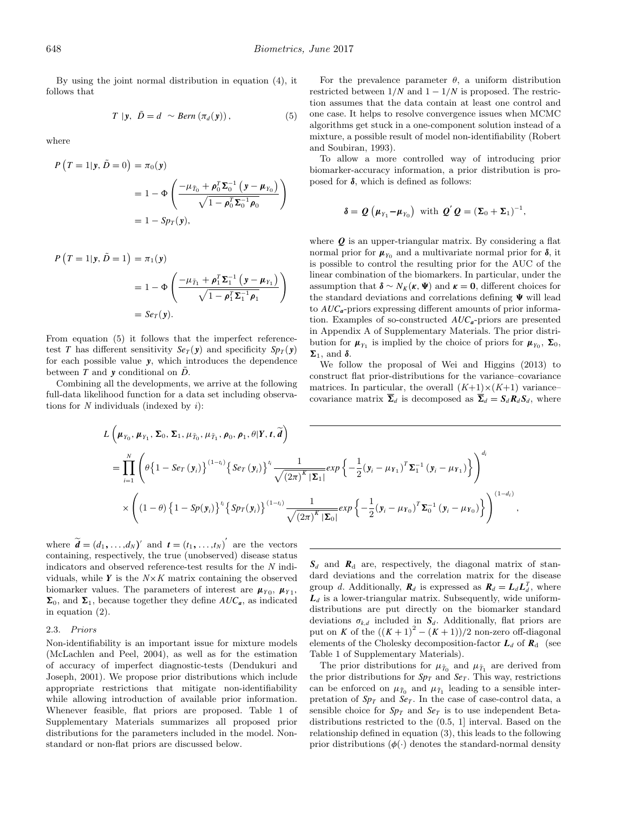By using the joint normal distribution in equation (4), it follows that

$$
T | y, \tilde{D} = d \sim Bern(\pi_d(y)), \qquad (5)
$$

where

$$
P(T = 1 | \mathbf{y}, \tilde{D} = 0) = \pi_0(\mathbf{y})
$$
  
= 1 -  $\Phi \left( \frac{-\mu_{\tilde{T}_0} + \rho_0^T \mathbf{\Sigma}_0^{-1} \left( \mathbf{y} - \mu_{Y_0} \right)}{\sqrt{1 - \rho_0^T \mathbf{\Sigma}_0^{-1} \rho_0}} \right)$   
= 1 - Sp<sub>T</sub>(\mathbf{y}),

$$
P(T = 1 | \mathbf{y}, \tilde{D} = 1) = \pi_1(\mathbf{y})
$$
  
= 1 -  $\Phi \left( \frac{-\mu_{\tilde{T}_1} + \rho_1^T \Sigma_1^{-1} \left( \mathbf{y} - \mu_{Y_1} \right)}{\sqrt{1 - \rho_1^T \Sigma_1^{-1} \rho_1}} \right)$   
=  $Se_T(\mathbf{y}).$ 

From equation (5) it follows that the imperfect referencetest *T* has different sensitivity  $Se_T(y)$  and specificity  $Sp_T(y)$ for each possible value *y*, which introduces the dependence between *T* and *y* conditional on  $\tilde{D}$ .

Combining all the developments, we arrive at the following full-data likelihood function for a data set including observations for  $N$  individuals (indexed by  $i$ ):

For the prevalence parameter  $\theta$ , a uniform distribution restricted between  $1/N$  and  $1 - 1/N$  is proposed. The restriction assumes that the data contain at least one control and one case. It helps to resolve convergence issues when MCMC algorithms get stuck in a one-component solution instead of a mixture, a possible result of model non-identifiability ([Robert](#page-9-0) and Soubiran, 1993).

To allow a more controlled way of introducing prior biomarker-accuracy information, a prior distribution is proposed for *δ*, which is defined as follows:

$$
\delta = \mathbf{Q} \left( \boldsymbol{\mu}_{Y_1} - \boldsymbol{\mu}_{Y_0} \right) \text{ with } \mathbf{Q}' \mathbf{Q} = \left( \boldsymbol{\Sigma}_0 + \boldsymbol{\Sigma}_1 \right)^{-1},
$$

where *Q* is an upper-triangular matrix. By considering a flat normal prior for  $\mu_{Y_0}$  and a multivariate normal prior for  $\delta$ , it is possible to control the resulting prior for the AUC of the linear combination of the biomarkers. In particular, under the assumption that  $\delta \sim N_K(\kappa, \Psi)$  and  $\kappa = 0$ , different choices for the standard deviations and correlations defining  $\Psi$  will lead to *AUCa*-priors expressing different amounts of prior information. Examples of so-constructed *AUCa*-priors are presented in Appendix A of Supplementary Materials. The prior distribution for  $\mu_{Y_1}$  is implied by the choice of priors for  $\mu_{Y_0}$ ,  $\Sigma_0$ ,  $\Sigma_1$ , and δ.

We follow the proposal of [Wei and Higgins \(2013\)](#page-9-0) to construct flat prior-distributions for the variance–covariance matrices. In particular, the overall  $(K+1)\times (K+1)$  variancecovariance matrix  $\overline{\Sigma}_d$  is decomposed as  $\overline{\Sigma}_d = S_d \mathbf{R}_d S_d$ , where

$$
L\left(\mu_{Y_0}, \mu_{Y_1}, \Sigma_0, \Sigma_1, \mu_{\tilde{T}_0}, \mu_{\tilde{T}_1}, \rho_0, \rho_1, \theta | Y, t, \tilde{d}\right)
$$
  
= 
$$
\prod_{i=1}^N \left(\theta \left\{1 - S e_T\left(y_i\right)\right\}^{(1-t_i)} \left\{S e_T\left(y_i\right)\right\}^i \frac{1}{\sqrt{\left(2\pi\right)^K |\Sigma_1|}} exp\left\{-\frac{1}{2} (y_i - \mu_{Y_1})^T \Sigma_1^{-1} \left(y_i - \mu_{Y_1}\right)\right\}\right)^{d_i}
$$
  

$$
\times \left(\left(1 - \theta\right) \left\{1 - Sp(y_i)\right\}^{t_i} \left\{Sp_T(y_i)\right\}^{(1-t_i)} \frac{1}{\sqrt{\left(2\pi\right)^K |\Sigma_0|}} exp\left\{-\frac{1}{2} (y_i - \mu_{Y_0})^T \Sigma_0^{-1} \left(y_i - \mu_{Y_0}\right)\right\}\right)^{(1-d_i)},
$$

where  $\widetilde{\boldsymbol{d}} = (d_1, \ldots, d_N)'$  and  $\boldsymbol{t} = (t_1, \ldots, t_N)'$  are the vectors containing, respectively, the true (unobserved) disease status indicators and observed reference-test results for the N individuals, while  $Y$  is the  $N \times K$  matrix containing the observed biomarker values. The parameters of interest are  $\mu_{Y_0}, \mu_{Y_1}$ ,  $\Sigma_0$ , and  $\Sigma_1$ , because together they define  $AUC_a$ , as indicated in equation (2).

#### 2.3. Priors

Non-identifiability is an important issue for mixture models ([McLachlen and Peel, 2004\)](#page-9-0), as well as for the estimation of accuracy of imperfect diagnostic-tests ([Dendukuri and](#page-8-0) Joseph, 2001). We propose prior distributions which include appropriate restrictions that mitigate non-identifiability while allowing introduction of available prior information. Whenever feasible, flat priors are proposed. Table 1 of Supplementary Materials summarizes all proposed prior distributions for the parameters included in the model. Nonstandard or non-flat priors are discussed below.

 $S_d$  and  $R_d$  are, respectively, the diagonal matrix of standard deviations and the correlation matrix for the disease group *d*. Additionally,  $\mathbf{R}_d$  is expressed as  $\mathbf{R}_d = \mathbf{L}_d \mathbf{L}_d^T$ , where  $L_d$  is a lower-triangular matrix. Subsequently, wide uniformdistributions are put directly on the biomarker standard deviations  $\sigma_{k,d}$  included in  $S_d$ . Additionally, flat priors are put on *K* of the  $((K + 1)^2 - (K + 1))/2$  non-zero off-diagonal elements of the Cholesky decomposition-factor  $L_d$  of  $R_d$  (see Table 1 of Supplementary Materials).

The prior distributions for  $\mu_{\tilde{T}_0}$  and  $\mu_{\tilde{T}_1}$  are derived from the prior distributions for  $Sp<sub>T</sub>$  and  $Se<sub>T</sub>$ . This way, restrictions can be enforced on  $\mu_{\tilde{T}_0}$  and  $\mu_{\tilde{T}_1}$  leading to a sensible interpretation of  $Sp<sub>T</sub>$  and  $Se<sub>T</sub>$ . In the case of case-control data, a sensible choice for  $Sp<sub>T</sub>$  and  $Se<sub>T</sub>$  is to use independent Betadistributions restricted to the (0.5, 1] interval. Based on the relationship defined in equation (3), this leads to the following prior distributions  $(\phi(\cdot))$  denotes the standard-normal density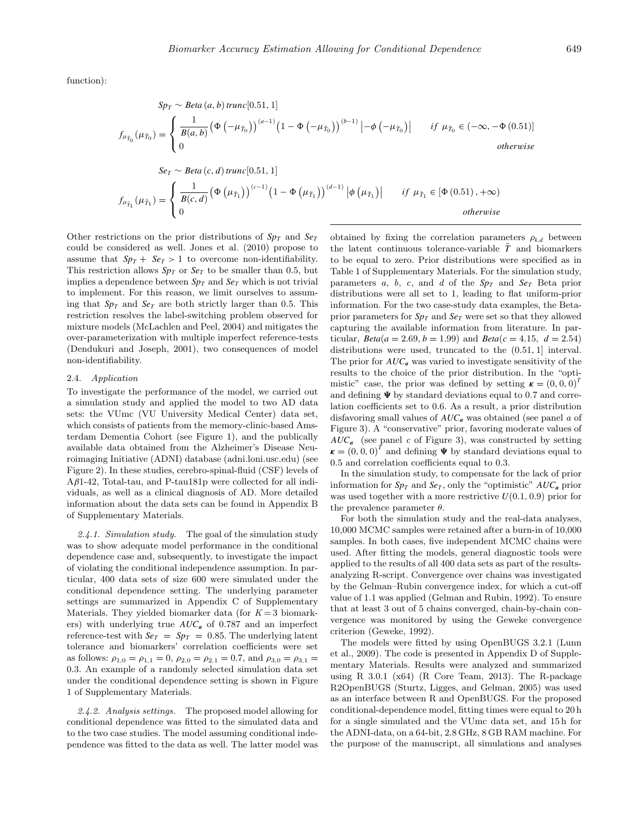function):

$$
Sp_T \sim Beta(a, b) trunc[0.51, 1]
$$
\n
$$
f_{\mu_{\tilde{T}_0}}(\mu_{\tilde{T}_0}) = \begin{cases} \frac{1}{B(a, b)} (\Phi(-\mu_{\tilde{T}_0}))^{(a-1)} (1 - \Phi(-\mu_{\tilde{T}_0}))^{(b-1)} | -\phi(-\mu_{\tilde{T}_0})| & \text{if } \mu_{\tilde{T}_0} \in (-\infty, -\Phi(0.51)]\\ 0 & \text{otherwise} \end{cases}
$$
\n
$$
Se_T \sim Beta(c, d) trunc[0.51, 1]
$$
\n
$$
f_{\mu_{\tilde{T}_1}}(\mu_{\tilde{T}_1}) = \begin{cases} \frac{1}{B(c, d)} (\Phi(\mu_{\tilde{T}_1}))^{(c-1)} (1 - \Phi(\mu_{\tilde{T}_1}))^{(d-1)} | \phi(\mu_{\tilde{T}_1})| & \text{if } \mu_{\tilde{T}_1} \in [\Phi(0.51), +\infty)\\ 0 & \text{otherwise} \end{cases}
$$

Other restrictions on the prior distributions of  $Sp<sub>T</sub>$  and  $Se<sub>T</sub>$ could be considered as well. [Jones et al. \(2010\)](#page-9-0) propose to assume that  $Sp_T + Se_T > 1$  to overcome non-identifiability. This restriction allows  $Sp<sub>T</sub>$  or  $Se<sub>T</sub>$  to be smaller than 0.5, but implies a dependence between  $Sp<sub>T</sub>$  and  $Se<sub>T</sub>$  which is not trivial to implement. For this reason, we limit ourselves to assuming that  $Sp<sub>T</sub>$  and  $Se<sub>T</sub>$  are both strictly larger than 0.5. This restriction resolves the label-switching problem observed for mixture models ([McLachlen and Peel, 2004\) a](#page-9-0)nd mitigates the over-parameterization with multiple imperfect reference-tests ([Dendukuri and Joseph, 2001\)](#page-8-0), two consequences of model non-identifiability.

#### 2.4. Application

To investigate the performance of the model, we carried out a simulation study and applied the model to two AD data sets: the VUmc (VU University Medical Center) data set, which consists of patients from the memory-clinic-based Amsterdam Dementia Cohort (see Figure 1), and the publically available data obtained from the Alzheimer's Disease Neuroimaging Initiative (ADNI) database (adni.loni.usc.edu) (see Figure 2). In these studies, cerebro-spinal-fluid (CSF) levels of A*β*1-42, Total-tau, and P-tau181p were collected for all individuals, as well as a clinical diagnosis of AD. More detailed information about the data sets can be found in Appendix B of Supplementary Materials.

2.4.1. Simulation study. The goal of the simulation study was to show adequate model performance in the conditional dependence case and, subsequently, to investigate the impact of violating the conditional independence assumption. In particular, 400 data sets of size 600 were simulated under the conditional dependence setting. The underlying parameter settings are summarized in Appendix C of Supplementary Materials. They yielded biomarker data (for  $K = 3$  biomarkers) with underlying true *AUC<sup>a</sup>* of 0.787 and an imperfect reference-test with  $S_{T} = Sp_{T} = 0.85$ . The underlying latent tolerance and biomarkers' correlation coefficients were set as follows:  $\rho_{1,0} = \rho_{1,1} = 0$ ,  $\rho_{2,0} = \rho_{2,1} = 0.7$ , and  $\rho_{3,0} = \rho_{3,1} =$ 0*.*3. An example of a randomly selected simulation data set under the conditional dependence setting is shown in Figure 1 of Supplementary Materials.

2.4.2. Analysis settings. The proposed model allowing for conditional dependence was fitted to the simulated data and to the two case studies. The model assuming conditional independence was fitted to the data as well. The latter model was

obtained by fixing the correlation parameters  $\rho_{k,d}$  between the latent continuous tolerance-variable  $\tilde{T}$  and biomarkers to be equal to zero. Prior distributions were specified as in Table 1 of Supplementary Materials. For the simulation study, parameters  $a, b, c,$  and  $d$  of the  $Sp<sub>T</sub>$  and  $Se<sub>T</sub>$  Beta prior distributions were all set to 1, leading to flat uniform-prior information. For the two case-study data examples, the Betaprior parameters for  $Sp<sub>T</sub>$  and  $Se<sub>T</sub>$  were set so that they allowed capturing the available information from literature. In particular,  $Beta(a = 2.69, b = 1.99)$  and  $Beta(c = 4.15, d = 2.54)$ distributions were used, truncated to the (0*.*51*,* 1] interval. The prior for  $AUC_a$  was varied to investigate sensitivity of the results to the choice of the prior distribution. In the "optimistic" case, the prior was defined by setting  $\boldsymbol{\kappa} = (0, 0, 0)^T$ and defining  $\Psi$  by standard deviations equal to 0.7 and correlation coefficients set to 0.6. As a result, a prior distribution disfavoring small values of *AUC<sup>a</sup>* was obtained (see panel a of Figure 3). A "conservative" prior, favoring moderate values of  $AUC_a$  (see panel c of Figure 3), was constructed by setting  $\boldsymbol{\kappa} = (0, 0, 0)^T$  and defining  $\boldsymbol{\Psi}$  by standard deviations equal to 0.5 and correlation coefficients equal to 0.3.

In the simulation study, to compensate for the lack of prior information for  $Sp<sub>T</sub>$  and  $Se<sub>T</sub>$ , only the "optimistic"  $AUC<sub>a</sub>$  prior was used together with a more restrictive  $U(0.1, 0.9)$  prior for the prevalence parameter *θ*.

For both the simulation study and the real-data analyses, 10,000 MCMC samples were retained after a burn-in of 10,000 samples. In both cases, five independent MCMC chains were used. After fitting the models, general diagnostic tools were applied to the results of all 400 data sets as part of the resultsanalyzing R-script. Convergence over chains was investigated by the Gelman–Rubin convergence index, for which a cut-off value of 1.1 was applied [\(Gelman and Rubin, 1992\).](#page-9-0) To ensure that at least 3 out of 5 chains converged, chain-by-chain convergence was monitored by using the Geweke convergence criterion ([Geweke, 1992\).](#page-9-0)

The models were fitted by using OpenBUGS 3.2.1 [\(Lunn](#page-9-0) et al., 2009). The code is presented in Appendix D of Supplementary Materials. Results were analyzed and summarized using R  $3.0.1$  (x64) [\(R Core Team, 2013\)](#page-9-0). The R-package R2OpenBUGS [\(Sturtz, Ligges, and Gelman, 2005\)](#page-9-0) was used as an interface between R and OpenBUGS. For the proposed conditional-dependence model, fitting times were equal to 20 h for a single simulated and the VUmc data set, and 15 h for the ADNI-data, on a 64-bit, 2.8 GHz, 8 GB RAM machine. For the purpose of the manuscript, all simulations and analyses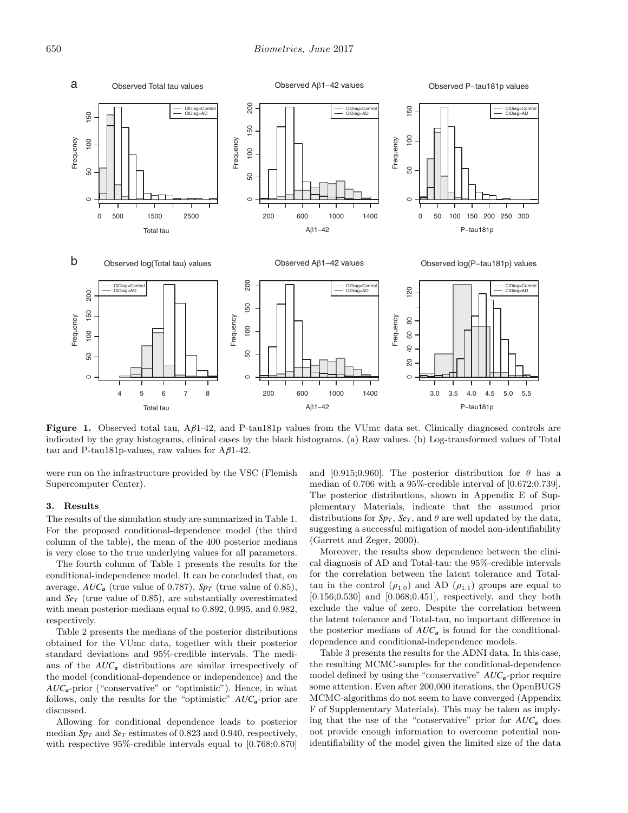

**Figure 1.** Observed total tau, A*β*1-42, and P-tau181p values from the VUmc data set. Clinically diagnosed controls are indicated by the gray histograms, clinical cases by the black histograms. (a) Raw values. (b) Log-transformed values of Total tau and P-tau181p-values, raw values for A*β*1-42.

were run on the infrastructure provided by the VSC (Flemish Supercomputer Center).

#### **3. Results**

The results of the simulation study are summarized in Table 1. For the proposed conditional-dependence model (the third column of the table), the mean of the 400 posterior medians is very close to the true underlying values for all parameters.

The fourth column of Table 1 presents the results for the conditional-independence model. It can be concluded that, on average,  $AUC_a$  (true value of 0.787),  $Sp_T$  (true value of 0.85), and  $Se<sub>T</sub>$  (true value of 0.85), are substantially overestimated with mean posterior-medians equal to 0.892, 0.995, and 0.982, respectively.

Table 2 presents the medians of the posterior distributions obtained for the VUmc data, together with their posterior standard deviations and 95%-credible intervals. The medians of the *AUC<sup>a</sup>* distributions are similar irrespectively of the model (conditional-dependence or independence) and the  $AUC_a$ -prior ("conservative" or "optimistic"). Hence, in what follows, only the results for the "optimistic" *AUCa*-prior are discussed.

Allowing for conditional dependence leads to posterior median  $Sp<sub>T</sub>$  and  $Se<sub>T</sub>$  estimates of 0.823 and 0.940, respectively, with respective 95%-credible intervals equal to [0.768;0.870] and [0.915;0.960]. The posterior distribution for  $\theta$  has a median of 0.706 with a 95%-credible interval of [0.672;0.739]. The posterior distributions, shown in Appendix E of Supplementary Materials, indicate that the assumed prior distributions for  $Sp<sub>T</sub>$ ,  $Se<sub>T</sub>$ , and  $\theta$  are well updated by the data, suggesting a successful mitigation of model non-identifiability ([Garrett and Zeger, 2000\).](#page-8-0)

Moreover, the results show dependence between the clinical diagnosis of AD and Total-tau: the 95%-credible intervals for the correlation between the latent tolerance and Totaltau in the control  $(\rho_{1,0})$  and AD  $(\rho_{1,1})$  groups are equal to [0.156;0.530] and [0.068;0.451], respectively, and they both exclude the value of zero. Despite the correlation between the latent tolerance and Total-tau, no important difference in the posterior medians of  $AUC_a$  is found for the conditionaldependence and conditional-independence models.

Table 3 presents the results for the ADNI data. In this case, the resulting MCMC-samples for the conditional-dependence model defined by using the "conservative" *AUCa*-prior require some attention. Even after 200,000 iterations, the OpenBUGS MCMC-algorithms do not seem to have converged (Appendix F of Supplementary Materials). This may be taken as implying that the use of the "conservative" prior for *AUC<sup>a</sup>* does not provide enough information to overcome potential nonidentifiability of the model given the limited size of the data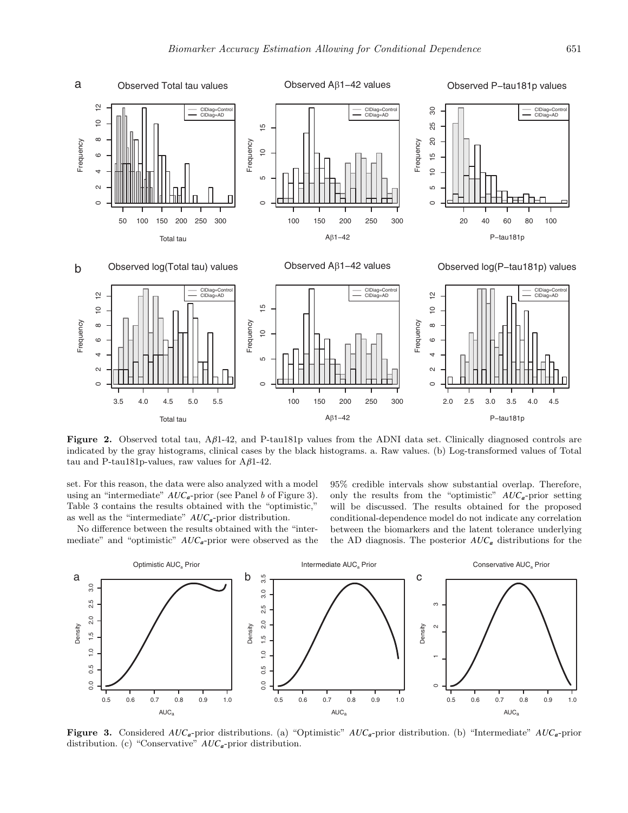

**Figure 2.** Observed total tau, A*β*1-42, and P-tau181p values from the ADNI data set. Clinically diagnosed controls are indicated by the gray histograms, clinical cases by the black histograms. a. Raw values. (b) Log-transformed values of Total tau and P-tau181p-values, raw values for A*β*1-42.

set. For this reason, the data were also analyzed with a model using an "intermediate" *AUCa*-prior (see Panel b of Figure 3). Table 3 contains the results obtained with the "optimistic," as well as the "intermediate" *AUCa*-prior distribution.

No difference between the results obtained with the "intermediate" and "optimistic" *AUCa*-prior were observed as the 95% credible intervals show substantial overlap. Therefore, only the results from the "optimistic" *AUCa*-prior setting will be discussed. The results obtained for the proposed conditional-dependence model do not indicate any correlation between the biomarkers and the latent tolerance underlying the AD diagnosis. The posterior *AUC<sup>a</sup>* distributions for the



**Figure 3.** Considered *AUCa*-prior distributions. (a) "Optimistic" *AUCa*-prior distribution. (b) "Intermediate" *AUCa*-prior distribution. (c) "Conservative" *AUCa*-prior distribution.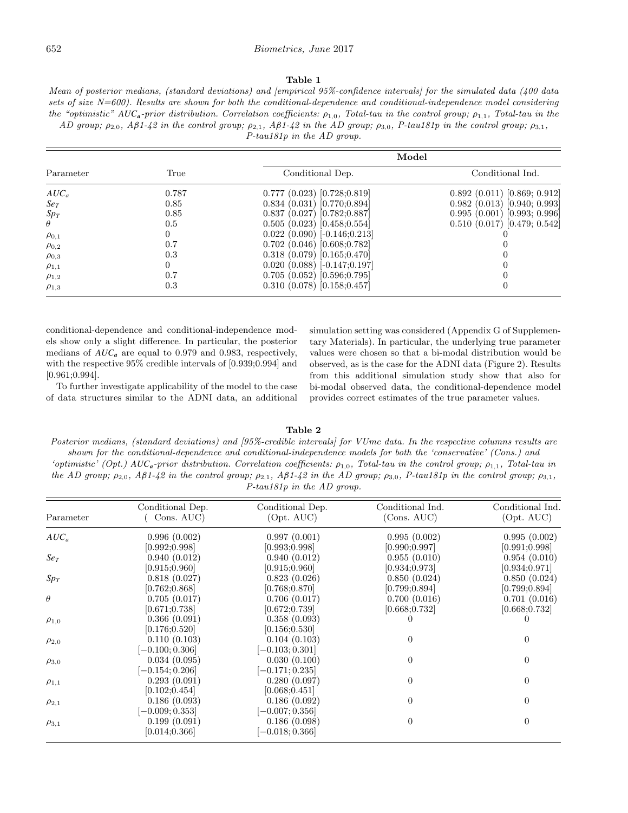Mean of posterior medians, (standard deviations) and [empirical 95%-confidence intervals] for the simulated data (400 data sets of size N=600). Results are shown for both the conditional-dependence and conditional-independence model considering the "optimistic" *AUCa*-prior distribution. Correlation coefficients: *ρ*<sup>1</sup>*,*<sup>0</sup>, Total-tau in the control group; *ρ*<sup>1</sup>*,*<sup>1</sup>, Total-tau in the AD group;  $\rho_{2,0}$ , Aβ1-42 in the control group;  $\rho_{2,1}$ , Aβ1-42 in the AD group;  $\rho_{3,0}$ , P-tau181p in the control group;  $\rho_{3,1}$ ,

P-tau181p in the AD group.

|                 |       |                                    | Model                              |
|-----------------|-------|------------------------------------|------------------------------------|
| Parameter       | True  | Conditional Dep.                   | Conditional Ind.                   |
| $AUC_a$         | 0.787 | 0.777(0.023)[0.728;0.819]          | 0.892(0.011)[0.869; 0.912]         |
| Se <sub>T</sub> | 0.85  | 0.834(0.031)[0.770;0.894]          | $0.982$ (0.013) [0.940; 0.993]     |
| Sp <sub>T</sub> | 0.85  | $0.837$ (0.027) [0.782;0.887]      | 0.995(0.001)[0.993; 0.996]         |
| $\theta$        | 0.5   | 0.505(0.023)[0.458;0.554]          | $0.510$ $(0.017)$ $[0.479; 0.542]$ |
| $\rho_{0,1}$    |       | $0.022$ $(0.090)$ $[-0.146;0.213]$ |                                    |
| $\rho_{0,2}$    | 0.7   | $0.702$ $(0.046)$ $[0.608;0.782]$  |                                    |
| $\rho_{0,3}$    | 0.3   | 0.318(0.079)[0.165;0.470]          |                                    |
| $\rho_{1,1}$    |       | $0.020$ $(0.088)$ $[-0.147;0.197]$ |                                    |
| $\rho_{1,2}$    | 0.7   | 0.705(0.052)[0.596;0.795]          |                                    |
| $\rho_{1,3}$    | 0.3   | $0.310$ $(0.078)$ $[0.158;0.457]$  |                                    |

conditional-dependence and conditional-independence models show only a slight difference. In particular, the posterior medians of *AUC<sup>a</sup>* are equal to 0.979 and 0.983, respectively, with the respective 95% credible intervals of [0.939;0.994] and [0.961;0.994].

To further investigate applicability of the model to the case of data structures similar to the ADNI data, an additional simulation setting was considered (Appendix G of Supplementary Materials). In particular, the underlying true parameter values were chosen so that a bi-modal distribution would be observed, as is the case for the ADNI data (Figure 2). Results from this additional simulation study show that also for bi-modal observed data, the conditional-dependence model provides correct estimates of the true parameter values.

**Table 2**

Posterior medians, (standard deviations) and [95%-credible intervals] for VUmc data. In the respective columns results are shown for the conditional-dependence and conditional-independence models for both the 'conservative' (Cons.) and 'optimistic' (Opt.) *AUCa*-prior distribution. Correlation coefficients: *ρ*<sup>1</sup>*,*<sup>0</sup>, Total-tau in the control group; *ρ*<sup>1</sup>*,*<sup>1</sup>, Total-tau in the AD group;  $\rho_{2,0}$ , A $\beta$ 1-42 in the control group;  $\rho_{2,1}$ , A $\beta$ 1-42 in the AD group;  $\rho_{3,0}$ , P-tau181p in the control group;  $\rho_{3,1}$ , P-tau181p in the AD group.

| Parameter    | Conditional Dep.<br>Cons. AUC) | Conditional Dep.<br>(Opt. AUC) | Conditional Ind.<br>(Cons. AUC) | Conditional Ind.<br>(Opt. AUC) |
|--------------|--------------------------------|--------------------------------|---------------------------------|--------------------------------|
| $AUC_a$      | 0.996(0.002)                   | 0.997(0.001)                   | 0.995(0.002)                    | 0.995(0.002)                   |
|              | [0.992; 0.998]                 | [0.993; 0.998]                 | [0.990; 0.997]                  | [0.991; 0.998]                 |
| $S_{eT}$     | 0.940(0.012)                   | 0.940(0.012)                   | 0.955(0.010)                    | 0.954(0.010)                   |
|              | [0.915; 0.960]                 | [0.915; 0.960]                 | [0.934; 0.973]                  | [0.934; 0.971]                 |
| $Sp_T$       | 0.818(0.027)                   | 0.823(0.026)                   | 0.850(0.024)                    | 0.850(0.024)                   |
|              | [0.762; 0.868]                 | [0.768; 0.870]                 | [0.799; 0.894]                  | [0.799; 0.894]                 |
| $\theta$     | 0.705(0.017)                   | 0.706(0.017)                   | 0.700(0.016)                    | 0.701(0.016)                   |
|              | [0.671; 0.738]                 | [0.672; 0.739]                 | [0.668; 0.732]                  | [0.668; 0.732]                 |
| $\rho_{1,0}$ | 0.366(0.091)                   | 0.358(0.093)                   |                                 |                                |
|              | [0.176; 0.520]                 | [0.156; 0.530]                 |                                 |                                |
| $\rho_{2,0}$ | 0.110(0.103)                   | 0.104(0.103)                   | $\theta$                        | $\overline{0}$                 |
|              | $[-0.100; 0.306]$              | $[-0.103; 0.301]$              |                                 |                                |
| $\rho_{3,0}$ | 0.034(0.095)                   | 0.030(0.100)                   | 0                               | $\Omega$                       |
|              | $[-0.154; 0.206]$              | $[-0.171; 0.235]$              |                                 |                                |
| $\rho_{1,1}$ | 0.293(0.091)                   | 0.280(0.097)                   | 0                               | $\Omega$                       |
|              | [0.102; 0.454]                 | [0.068; 0.451]                 |                                 |                                |
|              | 0.186(0.093)                   | 0.186(0.092)                   | 0                               | $\Omega$                       |
| $\rho_{2,1}$ | $[-0.009; 0.353]$              | $[-0.007; 0.356]$              |                                 |                                |
|              | 0.199(0.091)                   | 0.186(0.098)                   | $\theta$                        | 0                              |
| $\rho_{3,1}$ | [0.014; 0.366]                 | $-0.018; 0.366]$               |                                 |                                |
|              |                                |                                |                                 |                                |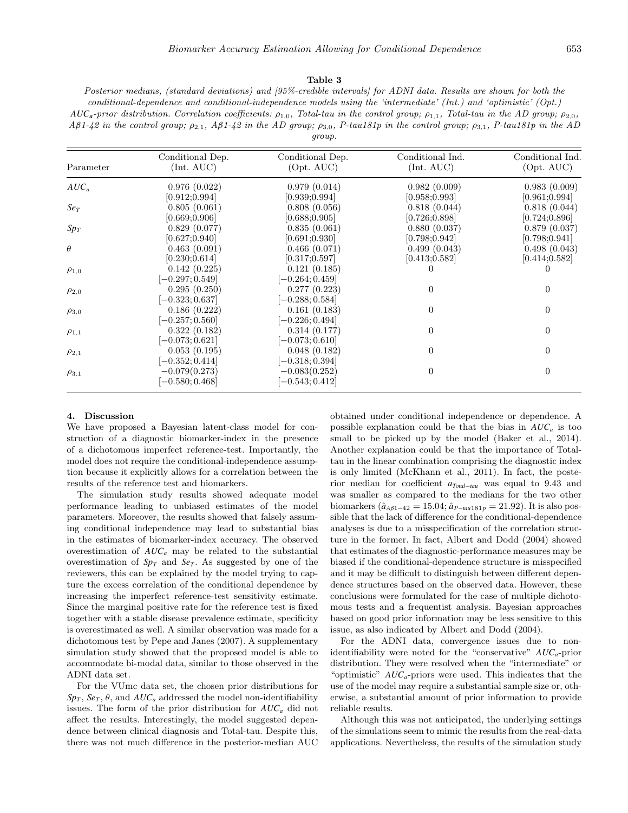#### **Table 3**

Posterior medians, (standard deviations) and [95%-credible intervals] for ADNI data. Results are shown for both the conditional-dependence and conditional-independence models using the 'intermediate' (Int.) and 'optimistic' (Opt.) *AUCa*-prior distribution. Correlation coefficients: *ρ*<sup>1</sup>*,*<sup>0</sup>, Total-tau in the control group; *ρ*<sup>1</sup>*,*<sup>1</sup>, Total-tau in the AD group; *ρ*<sup>2</sup>*,*<sup>0</sup>, A*β*1-42 in the control group; *ρ*<sup>2</sup>*,*<sup>1</sup>, A*β*1-42 in the AD group; *ρ*<sup>3</sup>*,*<sup>0</sup>, P-tau181p in the control group; *ρ*<sup>3</sup>*,*<sup>1</sup>, P-tau181p in the AD group.

| Parameter       | Conditional Dep.<br>(Int. AUC) | Conditional Dep.<br>(Opt. AUC) | Conditional Ind.<br>(Int. AUC) | Conditional Ind.<br>(Opt. AUC) |
|-----------------|--------------------------------|--------------------------------|--------------------------------|--------------------------------|
| $AUC_a$         | 0.976(0.022)                   | 0.979(0.014)                   | 0.982(0.009)                   | 0.983(0.009)                   |
|                 | [0.912; 0.994]                 | [0.939; 0.994]                 | [0.958; 0.993]                 | [0.961; 0.994]                 |
| Se <sub>T</sub> | 0.805(0.061)                   | 0.808(0.056)                   | 0.818(0.044)                   | 0.818(0.044)                   |
|                 | [0.669; 0.906]                 | [0.688; 0.905]                 | [0.726; 0.898]                 | [0.724; 0.896]                 |
| $Sp_T$          | 0.829(0.077)                   | 0.835(0.061)                   | 0.880(0.037)                   | 0.879(0.037)                   |
|                 | [0.627; 0.940]                 | [0.691; 0.930]                 | [0.798; 0.942]                 | [0.798; 0.941]                 |
| $\theta$        | 0.463(0.091)                   | 0.466(0.071)                   | 0.499(0.043)                   | 0.498(0.043)                   |
|                 | [0.230; 0.614]                 | [0.317; 0.597]                 | [0.413; 0.582]                 | [0.414; 0.582]                 |
| $\rho_{1,0}$    | 0.142(0.225)                   | 0.121(0.185)                   |                                |                                |
|                 | $[-0.297; 0.549]$              | $[-0.264; 0.459]$              |                                |                                |
| $\rho_{2,0}$    | 0.295(0.250)                   | 0.277(0.223)                   | 0                              | $\Omega$                       |
|                 | $[-0.323; 0.637]$              | $[-0.288; 0.584]$              |                                |                                |
| $\rho_{3,0}$    | 0.186(0.222)                   | 0.161(0.183)                   | 0                              | $\Omega$                       |
|                 | $[-0.257; 0.560]$              | $[-0.226; 0.494]$              |                                |                                |
| $\rho_{1,1}$    | 0.322(0.182)                   | 0.314(0.177)                   | 0                              | $\Omega$                       |
|                 | $[-0.073; 0.621]$              | $[-0.073; 0.610]$              |                                |                                |
| $\rho_{2,1}$    | 0.053(0.195)                   | 0.048(0.182)                   | 0                              | $\Omega$                       |
|                 | $[-0.352; 0.414]$              | $[-0.318; 0.394]$              |                                |                                |
| $\rho_{3,1}$    | $-0.079(0.273)$                | $-0.083(0.252)$                | $\Omega$                       | 0                              |
|                 | $[-0.580; 0.468]$              | $[-0.543; 0.412]$              |                                |                                |

### **4. Discussion**

We have proposed a Bayesian latent-class model for construction of a diagnostic biomarker-index in the presence of a dichotomous imperfect reference-test. Importantly, the model does not require the conditional-independence assumption because it explicitly allows for a correlation between the results of the reference test and biomarkers.

The simulation study results showed adequate model performance leading to unbiased estimates of the model parameters. Moreover, the results showed that falsely assuming conditional independence may lead to substantial bias in the estimates of biomarker-index accuracy. The observed overestimation of  $AUC_a$  may be related to the substantial overestimation of  $Sp<sub>T</sub>$  and  $Se<sub>T</sub>$ . As suggested by one of the reviewers, this can be explained by the model trying to capture the excess correlation of the conditional dependence by increasing the imperfect reference-test sensitivity estimate. Since the marginal positive rate for the reference test is fixed together with a stable disease prevalence estimate, specificity is overestimated as well. A similar observation was made for a dichotomous test by [Pepe and Janes \(2007\). A](#page-9-0) supplementary simulation study showed that the proposed model is able to accommodate bi-modal data, similar to those observed in the ADNI data set.

For the VUmc data set, the chosen prior distributions for  $Sp<sub>T</sub>$ ,  $Se<sub>T</sub>$ ,  $\theta$ , and  $AUC<sub>a</sub>$  addressed the model non-identifiability issues. The form of the prior distribution for *AUCa* did not affect the results. Interestingly, the model suggested dependence between clinical diagnosis and Total-tau. Despite this, there was not much difference in the posterior-median AUC

obtained under conditional independence or dependence. A possible explanation could be that the bias in *AUCa* is too small to be picked up by the model ([Baker et al., 2014](#page-8-0)). Another explanation could be that the importance of Totaltau in the linear combination comprising the diagnostic index is only limited [\(McKhann et al., 2011\)](#page-9-0). In fact, the posterior median for coefficient *aTotal*−*tau* was equal to 9.43 and was smaller as compared to the medians for the two other biomarkers  $(\hat{a}_{A\beta1-42} = 15.04; \hat{a}_{P-tau181p} = 21.92)$ . It is also possible that the lack of difference for the conditional-dependence analyses is due to a misspecification of the correlation structure in the former. In fact, [Albert and Dodd \(2004\) s](#page-8-0)howed that estimates of the diagnostic-performance measures may be biased if the conditional-dependence structure is misspecified and it may be difficult to distinguish between different dependence structures based on the observed data. However, these conclusions were formulated for the case of multiple dichotomous tests and a frequentist analysis. Bayesian approaches based on good prior information may be less sensitive to this issue, as also indicated by [Albert and Dodd \(2004\).](#page-8-0)

For the ADNI data, convergence issues due to nonidentifiability were noted for the "conservative" *AUCa*-prior distribution. They were resolved when the "intermediate" or "optimistic" *AUCa*-priors were used. This indicates that the use of the model may require a substantial sample size or, otherwise, a substantial amount of prior information to provide reliable results.

Although this was not anticipated, the underlying settings of the simulations seem to mimic the results from the real-data applications. Nevertheless, the results of the simulation study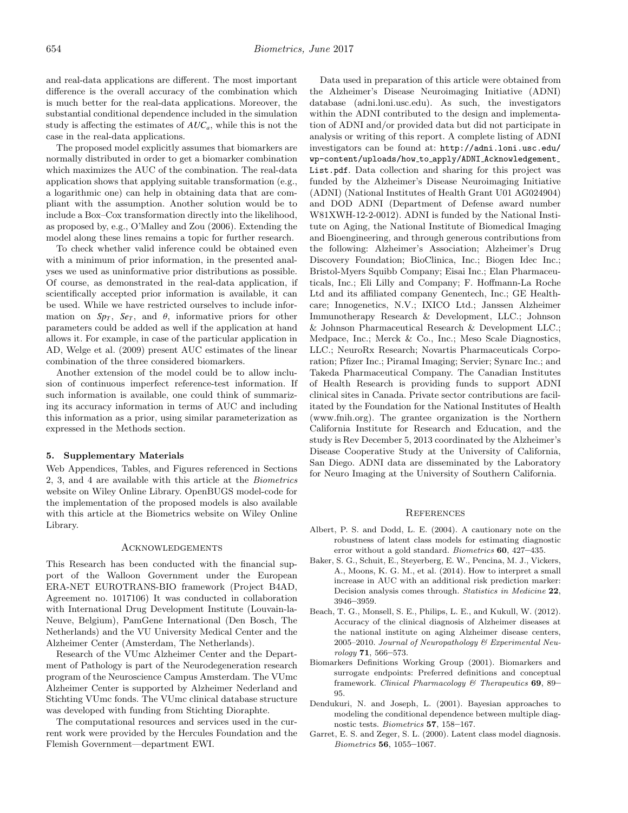<span id="page-8-0"></span>and real-data applications are different. The most important difference is the overall accuracy of the combination which is much better for the real-data applications. Moreover, the substantial conditional dependence included in the simulation study is affecting the estimates of *AUCa*, while this is not the case in the real-data applications.

The proposed model explicitly assumes that biomarkers are normally distributed in order to get a biomarker combination which maximizes the AUC of the combination. The real-data application shows that applying suitable transformation (e.g., a logarithmic one) can help in obtaining data that are compliant with the assumption. Another solution would be to include a Box–Cox transformation directly into the likelihood, as proposed by, e.g., [O'Malley and Zou \(2006\).](#page-9-0) Extending the model along these lines remains a topic for further research.

To check whether valid inference could be obtained even with a minimum of prior information, in the presented analyses we used as uninformative prior distributions as possible. Of course, as demonstrated in the real-data application, if scientifically accepted prior information is available, it can be used. While we have restricted ourselves to include information on  $Sp_T$ ,  $Se_T$ , and  $\theta$ , informative priors for other parameters could be added as well if the application at hand allows it. For example, in case of the particular application in AD, [Welge et al. \(2009\) p](#page-9-0)resent AUC estimates of the linear combination of the three considered biomarkers.

Another extension of the model could be to allow inclusion of continuous imperfect reference-test information. If such information is available, one could think of summarizing its accuracy information in terms of AUC and including this information as a prior, using similar parameterization as expressed in the Methods section.

## **5. Supplementary Materials**

Web Appendices, Tables, and Figures referenced in Sections 2, 3, and 4 are available with this article at the Biometrics website on Wiley Online Library. OpenBUGS model-code for the implementation of the proposed models is also available with this article at the Biometrics website on Wiley Online Library.

#### Acknowledgements

This Research has been conducted with the financial support of the Walloon Government under the European ERA-NET EUROTRANS-BIO framework (Project B4AD, Agreement no. 1017106) It was conducted in collaboration with International Drug Development Institute (Louvain-la-Neuve, Belgium), PamGene International (Den Bosch, The Netherlands) and the VU University Medical Center and the Alzheimer Center (Amsterdam, The Netherlands).

Research of the VUmc Alzheimer Center and the Department of Pathology is part of the Neurodegeneration research program of the Neuroscience Campus Amsterdam. The VUmc Alzheimer Center is supported by Alzheimer Nederland and Stichting VUmc fonds. The VUmc clinical database structure was developed with funding from Stichting Dioraphte.

The computational resources and services used in the current work were provided by the Hercules Foundation and the Flemish Government—department EWI.

Data used in preparation of this article were obtained from the Alzheimer's Disease Neuroimaging Initiative (ADNI) database (adni.loni.usc.edu). As such, the investigators within the ADNI contributed to the design and implementation of ADNI and/or provided data but did not participate in analysis or writing of this report. A complete listing of ADNI investigators can be found at: [http://adni.loni.usc.edu/](http://adni.loni.usc.edu/wp-content/uploads/how_to_apply/ADNI_Acknowledgement_List.pdf) wp-content/uploads/how to apply/ADNI Acknowledgement List.pdf. Data collection and sharing for this project was funded by the Alzheimer's Disease Neuroimaging Initiative (ADNI) (National Institutes of Health Grant U01 AG024904) and DOD ADNI (Department of Defense award number W81XWH-12-2-0012). ADNI is funded by the National Institute on Aging, the National Institute of Biomedical Imaging and Bioengineering, and through generous contributions from the following: Alzheimer's Association; Alzheimer's Drug Discovery Foundation; BioClinica, Inc.; Biogen Idec Inc.; Bristol-Myers Squibb Company; Eisai Inc.; Elan Pharmaceuticals, Inc.; Eli Lilly and Company; F. Hoffmann-La Roche Ltd and its affiliated company Genentech, Inc.; GE Healthcare; Innogenetics, N.V.; IXICO Ltd.; Janssen Alzheimer Immunotherapy Research & Development, LLC.; Johnson & Johnson Pharmaceutical Research & Development LLC.; Medpace, Inc.; Merck & Co., Inc.; Meso Scale Diagnostics, LLC.; NeuroRx Research; Novartis Pharmaceuticals Corporation; Pfizer Inc.; Piramal Imaging; Servier; Synarc Inc.; and Takeda Pharmaceutical Company. The Canadian Institutes of Health Research is providing funds to support ADNI clinical sites in Canada. Private sector contributions are facilitated by the Foundation for the National Institutes of Health (www.fnih.org). The grantee organization is the Northern California Institute for Research and Education, and the study is Rev December 5, 2013 coordinated by the Alzheimer's Disease Cooperative Study at the University of California, San Diego. ADNI data are disseminated by the Laboratory for Neuro Imaging at the University of Southern California.

#### **REFERENCES**

- Albert, P. S. and Dodd, L. E. (2004). A cautionary note on the robustness of latent class models for estimating diagnostic error without a gold standard. Biometrics **60**, 427**–**435.
- Baker, S. G., Schuit, E., Steyerberg, E. W., Pencina, M. J., Vickers, A., Moons, K. G. M., et al. (2014). How to interpret a small increase in AUC with an additional risk prediction marker: Decision analysis comes through. Statistics in Medicine **22**, 3946**–**3959.
- Beach, T. G., Monsell, S. E., Philips, L. E., and Kukull, W. (2012). Accuracy of the clinical diagnosis of Alzheimer diseases at the national institute on aging Alzheimer disease centers, 2005–2010. Journal of Neuropathology & Experimental Neurology **71**, 566**–**573.
- Biomarkers Definitions Working Group (2001). Biomarkers and surrogate endpoints: Preferred definitions and conceptual framework. Clinical Pharmacology & Therapeutics **69**, 89**–** 95.
- Dendukuri, N. and Joseph, L. (2001). Bayesian approaches to modeling the conditional dependence between multiple diagnostic tests. Biometrics **57**, 158**–**167.
- Garret, E. S. and Zeger, S. L. (2000). Latent class model diagnosis. Biometrics **56**, 1055**–**1067.